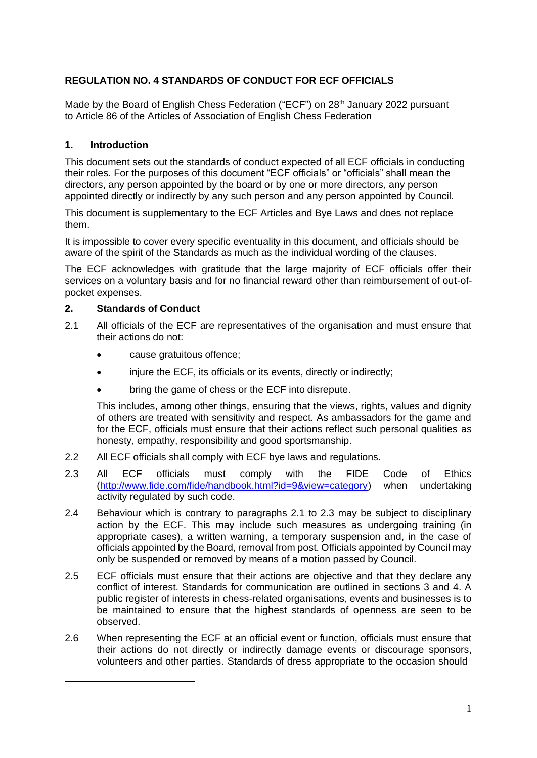# **REGULATION NO. 4 STANDARDS OF CONDUCT FOR ECF OFFICIALS**

Made by the Board of English Chess Federation ("ECF") on 28<sup>th</sup> January 2022 pursuant to Article 86 of the Articles of Association of English Chess Federation

## **1. Introduction**

This document sets out the standards of conduct expected of all ECF officials in conducting their roles. For the purposes of this document "ECF officials" or "officials" shall mean the directors, any person appointed by the board or by one or more directors, any person appointed directly or indirectly by any such person and any person appointed by Council.

This document is supplementary to the ECF Articles and Bye Laws and does not replace them.

It is impossible to cover every specific eventuality in this document, and officials should be aware of the spirit of the Standards as much as the individual wording of the clauses.

The ECF acknowledges with gratitude that the large majority of ECF officials offer their services on a voluntary basis and for no financial reward other than reimbursement of out-ofpocket expenses.

## **2. Standards of Conduct**

- 2.1 All officials of the ECF are representatives of the organisation and must ensure that their actions do not:
	- cause gratuitous offence:
	- injure the ECF, its officials or its events, directly or indirectly;
	- bring the game of chess or the ECF into disrepute.

This includes, among other things, ensuring that the views, rights, values and dignity of others are treated with sensitivity and respect. As ambassadors for the game and for the ECF, officials must ensure that their actions reflect such personal qualities as honesty, empathy, responsibility and good sportsmanship.

- 2.2 All ECF officials shall comply with ECF bye laws and regulations.
- 2.3 All ECF officials must comply with the FIDE Code of Ethics [\(http://www.fide.com/fide/handbook.html?id=9&view=category\)](http://www.fide.com/fide/handbook.html?id=9&view=category) when undertaking activity regulated by such code.
- 2.4 Behaviour which is contrary to paragraphs 2.1 to 2.3 may be subject to disciplinary action by the ECF. This may include such measures as undergoing training (in appropriate cases), a written warning, a temporary suspension and, in the case of officials appointed by the Board, removal from post. Officials appointed by Council may only be suspended or removed by means of a motion passed by Council.
- 2.5 ECF officials must ensure that their actions are objective and that they declare any conflict of interest. Standards for communication are outlined in sections 3 and 4. A public register of interests in chess-related organisations, events and businesses is to be maintained to ensure that the highest standards of openness are seen to be observed.
- 2.6 When representing the ECF at an official event or function, officials must ensure that their actions do not directly or indirectly damage events or discourage sponsors, volunteers and other parties. Standards of dress appropriate to the occasion should